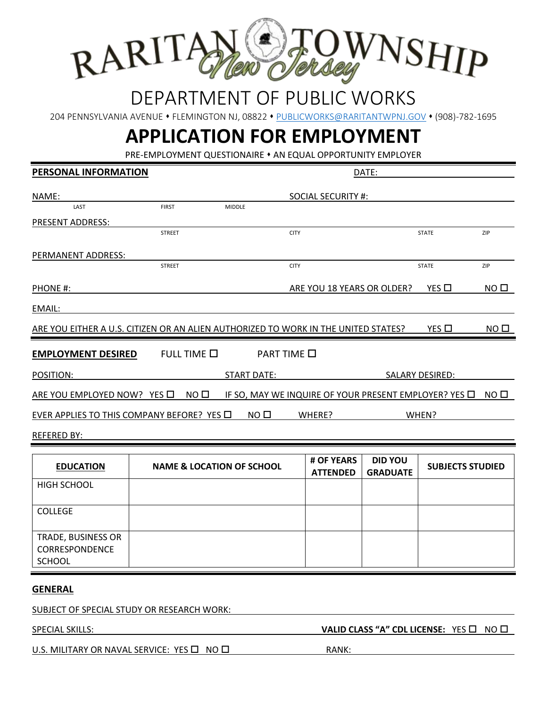

## DEPARTMENT OF PUBLIC WORKS

204 PENNSYLVANIA AVENUE • FLEMINGTON NJ, 08822 • [PUBLICWORKS@RARITANTWPNJ.GOV](mailto:PUBLICWORKS@RARITANTWPNJ.GOV) • (908)-782-1695

# **APPLICATION FOR EMPLOYMENT**

PRE-EMPLOYMENT QUESTIONAIRE  $*$  AN EQUAL OPPORTUNITY EMPLOYER

| PERSONAL INFORMATION                                                               |                                      |                    |                                                            | DATE:                             |                         |                  |
|------------------------------------------------------------------------------------|--------------------------------------|--------------------|------------------------------------------------------------|-----------------------------------|-------------------------|------------------|
| NAME:                                                                              |                                      |                    | <b>SOCIAL SECURITY #:</b>                                  |                                   |                         |                  |
| LAST                                                                               | <b>FIRST</b>                         | <b>MIDDLE</b>      |                                                            |                                   |                         |                  |
| PRESENT ADDRESS:                                                                   |                                      |                    |                                                            |                                   |                         |                  |
|                                                                                    | <b>STREET</b>                        |                    | <b>CITY</b>                                                |                                   | <b>STATE</b>            | ZIP              |
| PERMANENT ADDRESS:                                                                 |                                      |                    |                                                            |                                   |                         |                  |
|                                                                                    | <b>STREET</b>                        |                    | <b>CITY</b>                                                |                                   | <b>STATE</b>            | ZIP              |
| PHONE #:                                                                           |                                      |                    | ARE YOU 18 YEARS OR OLDER?                                 |                                   | YES $\square$           | NO <sub>II</sub> |
| EMAIL:                                                                             |                                      |                    |                                                            |                                   |                         |                  |
| ARE YOU EITHER A U.S. CITIZEN OR AN ALIEN AUTHORIZED TO WORK IN THE UNITED STATES? |                                      |                    |                                                            |                                   | YES □                   | NO <sub>0</sub>  |
| <b>EMPLOYMENT DESIRED</b>                                                          | FULL TIME □                          |                    | <b>PART TIME</b> □                                         |                                   |                         |                  |
| POSITION:                                                                          |                                      | <b>START DATE:</b> |                                                            |                                   | <b>SALARY DESIRED:</b>  |                  |
| ARE YOU EMPLOYED NOW? YES O                                                        | NO <sub>0</sub>                      |                    | IF SO, MAY WE INQUIRE OF YOUR PRESENT EMPLOYER? YES $\Box$ |                                   |                         | NO <sub>0</sub>  |
| EVER APPLIES TO THIS COMPANY BEFORE? YES $\Box$                                    |                                      | NO <sub>0</sub>    | WHERE?                                                     |                                   | WHEN?                   |                  |
| <b>REFERED BY:</b>                                                                 |                                      |                    |                                                            |                                   |                         |                  |
|                                                                                    |                                      |                    |                                                            |                                   |                         |                  |
| <b>EDUCATION</b>                                                                   | <b>NAME &amp; LOCATION OF SCHOOL</b> |                    | # OF YEARS<br><b>ATTENDED</b>                              | <b>DID YOU</b><br><b>GRADUATE</b> | <b>SUBJECTS STUDIED</b> |                  |
| <b>HIGH SCHOOL</b>                                                                 |                                      |                    |                                                            |                                   |                         |                  |
| <b>COLLEGE</b>                                                                     |                                      |                    |                                                            |                                   |                         |                  |
| TRADE, BUSINESS OR<br>CORRESPONDENCE<br><b>SCHOOL</b>                              |                                      |                    |                                                            |                                   |                         |                  |
| <b>GENERAL</b>                                                                     |                                      |                    |                                                            |                                   |                         |                  |

SUBJECT OF SPECIAL STUDY OR RESEARCH WORK:

SPECIAL SKILLS: **VALID CLASS "A" CDL LICENSE:** YES NO

U.S. MILITARY OR NAVAL SERVICE: YES  $\Box$  NO  $\Box$  And  $\Box$  RANK: